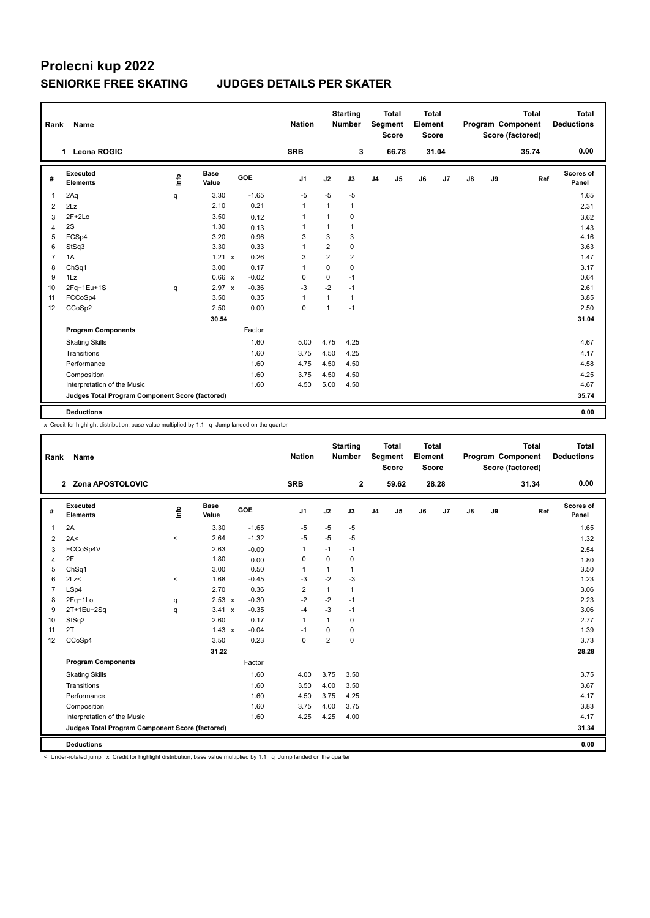## **Prolecni kup 2022 SENIORKE FREE SKATING JUDGES DETAILS PER SKATER**

| Rank           | Name                                            |      |                      |            | <b>Nation</b>  |                         | <b>Starting</b><br><b>Number</b> |                | <b>Total</b><br>Segment<br><b>Score</b> | <b>Total</b><br>Element<br><b>Score</b> |                |    |    | <b>Total</b><br>Program Component<br>Score (factored) | <b>Total</b><br><b>Deductions</b> |
|----------------|-------------------------------------------------|------|----------------------|------------|----------------|-------------------------|----------------------------------|----------------|-----------------------------------------|-----------------------------------------|----------------|----|----|-------------------------------------------------------|-----------------------------------|
|                | Leona ROGIC<br>1                                |      |                      |            | <b>SRB</b>     |                         | 3                                |                | 66.78                                   |                                         | 31.04          |    |    | 35.74                                                 | 0.00                              |
| #              | Executed<br><b>Elements</b>                     | lnfo | <b>Base</b><br>Value | <b>GOE</b> | J <sub>1</sub> | J2                      | J3                               | J <sub>4</sub> | J <sub>5</sub>                          | J6                                      | J <sub>7</sub> | J8 | J9 | Ref                                                   | <b>Scores of</b><br>Panel         |
| $\mathbf{1}$   | 2Aq                                             | q    | 3.30                 | $-1.65$    | $-5$           | $-5$                    | $-5$                             |                |                                         |                                         |                |    |    |                                                       | 1.65                              |
| 2              | 2Lz                                             |      | 2.10                 | 0.21       | $\mathbf{1}$   | 1                       | 1                                |                |                                         |                                         |                |    |    |                                                       | 2.31                              |
| 3              | $2F+2Lo$                                        |      | 3.50                 | 0.12       | $\mathbf 1$    | 1                       | 0                                |                |                                         |                                         |                |    |    |                                                       | 3.62                              |
| 4              | 2S                                              |      | 1.30                 | 0.13       | $\mathbf{1}$   | $\mathbf{1}$            | 1                                |                |                                         |                                         |                |    |    |                                                       | 1.43                              |
| 5              | FCSp4                                           |      | 3.20                 | 0.96       | 3              | 3                       | 3                                |                |                                         |                                         |                |    |    |                                                       | 4.16                              |
| 6              | StSq3                                           |      | 3.30                 | 0.33       | 1              | $\overline{\mathbf{c}}$ | 0                                |                |                                         |                                         |                |    |    |                                                       | 3.63                              |
| $\overline{7}$ | 1A                                              |      | $1.21 \times$        | 0.26       | 3              | $\overline{2}$          | $\overline{2}$                   |                |                                         |                                         |                |    |    |                                                       | 1.47                              |
| 8              | ChSq1                                           |      | 3.00                 | 0.17       | 1              | 0                       | 0                                |                |                                         |                                         |                |    |    |                                                       | 3.17                              |
| 9              | 1Lz                                             |      | 0.66 x               | $-0.02$    | 0              | 0                       | $-1$                             |                |                                         |                                         |                |    |    |                                                       | 0.64                              |
| 10             | $2Fq+1Eu+1S$                                    | q    | $2.97 \times$        | $-0.36$    | $-3$           | $-2$                    | $-1$                             |                |                                         |                                         |                |    |    |                                                       | 2.61                              |
| 11             | FCCoSp4                                         |      | 3.50                 | 0.35       | $\mathbf{1}$   | $\mathbf{1}$            | 1                                |                |                                         |                                         |                |    |    |                                                       | 3.85                              |
| 12             | CCoSp2                                          |      | 2.50                 | 0.00       | $\mathbf 0$    | 1                       | $-1$                             |                |                                         |                                         |                |    |    |                                                       | 2.50                              |
|                |                                                 |      | 30.54                |            |                |                         |                                  |                |                                         |                                         |                |    |    |                                                       | 31.04                             |
|                | <b>Program Components</b>                       |      |                      | Factor     |                |                         |                                  |                |                                         |                                         |                |    |    |                                                       |                                   |
|                | <b>Skating Skills</b>                           |      |                      | 1.60       | 5.00           | 4.75                    | 4.25                             |                |                                         |                                         |                |    |    |                                                       | 4.67                              |
|                | Transitions                                     |      |                      | 1.60       | 3.75           | 4.50                    | 4.25                             |                |                                         |                                         |                |    |    |                                                       | 4.17                              |
|                | Performance                                     |      |                      | 1.60       | 4.75           | 4.50                    | 4.50                             |                |                                         |                                         |                |    |    |                                                       | 4.58                              |
|                | Composition                                     |      |                      | 1.60       | 3.75           | 4.50                    | 4.50                             |                |                                         |                                         |                |    |    |                                                       | 4.25                              |
|                | Interpretation of the Music                     |      |                      | 1.60       | 4.50           | 5.00                    | 4.50                             |                |                                         |                                         |                |    |    |                                                       | 4.67                              |
|                | Judges Total Program Component Score (factored) |      |                      |            |                |                         |                                  |                |                                         |                                         |                |    |    |                                                       | 35.74                             |
|                | <b>Deductions</b>                               |      |                      |            |                |                         |                                  |                |                                         |                                         |                |    |    |                                                       | 0.00                              |

x Credit for highlight distribution, base value multiplied by 1.1 q Jump landed on the quarter

| Rank           | Name                                            |          |                      |         | <b>Nation</b>  |                | <b>Starting</b><br><b>Number</b> |                | <b>Total</b><br>Segment<br><b>Score</b> | <b>Total</b><br>Element<br><b>Score</b> |                |    |    | <b>Total</b><br>Program Component<br>Score (factored) | <b>Total</b><br><b>Deductions</b> |
|----------------|-------------------------------------------------|----------|----------------------|---------|----------------|----------------|----------------------------------|----------------|-----------------------------------------|-----------------------------------------|----------------|----|----|-------------------------------------------------------|-----------------------------------|
|                | 2 Zona APOSTOLOVIC                              |          |                      |         | <b>SRB</b>     |                | $\mathbf{2}$                     |                | 59.62                                   |                                         | 28.28          |    |    | 31.34                                                 | 0.00                              |
| #              | Executed<br><b>Elements</b>                     | lnfo     | <b>Base</b><br>Value | GOE     | J1             | J2             | J3                               | J <sub>4</sub> | J <sub>5</sub>                          | J6                                      | J <sub>7</sub> | J8 | J9 | Ref                                                   | Scores of<br>Panel                |
| 1              | 2A                                              |          | 3.30                 | $-1.65$ | -5             | -5             | $-5$                             |                |                                         |                                         |                |    |    |                                                       | 1.65                              |
| 2              | 2A<                                             | $\,<$    | 2.64                 | $-1.32$ | $-5$           | $-5$           | $-5$                             |                |                                         |                                         |                |    |    |                                                       | 1.32                              |
| 3              | FCCoSp4V                                        |          | 2.63                 | $-0.09$ | $\mathbf{1}$   | $-1$           | $-1$                             |                |                                         |                                         |                |    |    |                                                       | 2.54                              |
| $\overline{4}$ | 2F                                              |          | 1.80                 | 0.00    | 0              | $\mathbf 0$    | $\mathbf 0$                      |                |                                         |                                         |                |    |    |                                                       | 1.80                              |
| 5              | ChSq1                                           |          | 3.00                 | 0.50    | $\overline{1}$ | 1              | $\mathbf{1}$                     |                |                                         |                                         |                |    |    |                                                       | 3.50                              |
| 6              | 2Lz<                                            | $\hat{}$ | 1.68                 | $-0.45$ | $-3$           | $-2$           | $-3$                             |                |                                         |                                         |                |    |    |                                                       | 1.23                              |
| $\overline{7}$ | LSp4                                            |          | 2.70                 | 0.36    | $\overline{2}$ | $\mathbf{1}$   | $\mathbf{1}$                     |                |                                         |                                         |                |    |    |                                                       | 3.06                              |
| 8              | 2Fq+1Lo                                         | q        | $2.53 \times$        | $-0.30$ | $-2$           | $-2$           | $-1$                             |                |                                         |                                         |                |    |    |                                                       | 2.23                              |
| 9              | 2T+1Eu+2Sq                                      | q        | 3.41 x               | $-0.35$ | $-4$           | $-3$           | $-1$                             |                |                                         |                                         |                |    |    |                                                       | 3.06                              |
| 10             | StSq2                                           |          | 2.60                 | 0.17    | $\mathbf{1}$   | $\mathbf{1}$   | 0                                |                |                                         |                                         |                |    |    |                                                       | 2.77                              |
| 11             | 2T                                              |          | $1.43 \times$        | $-0.04$ | -1             | 0              | $\mathbf 0$                      |                |                                         |                                         |                |    |    |                                                       | 1.39                              |
| 12             | CCoSp4                                          |          | 3.50                 | 0.23    | $\mathbf 0$    | $\overline{2}$ | $\mathbf 0$                      |                |                                         |                                         |                |    |    |                                                       | 3.73                              |
|                |                                                 |          | 31.22                |         |                |                |                                  |                |                                         |                                         |                |    |    |                                                       | 28.28                             |
|                | <b>Program Components</b>                       |          |                      | Factor  |                |                |                                  |                |                                         |                                         |                |    |    |                                                       |                                   |
|                | <b>Skating Skills</b>                           |          |                      | 1.60    | 4.00           | 3.75           | 3.50                             |                |                                         |                                         |                |    |    |                                                       | 3.75                              |
|                | Transitions                                     |          |                      | 1.60    | 3.50           | 4.00           | 3.50                             |                |                                         |                                         |                |    |    |                                                       | 3.67                              |
|                | Performance                                     |          |                      | 1.60    | 4.50           | 3.75           | 4.25                             |                |                                         |                                         |                |    |    |                                                       | 4.17                              |
|                | Composition                                     |          |                      | 1.60    | 3.75           | 4.00           | 3.75                             |                |                                         |                                         |                |    |    |                                                       | 3.83                              |
|                | Interpretation of the Music                     |          |                      | 1.60    | 4.25           | 4.25           | 4.00                             |                |                                         |                                         |                |    |    |                                                       | 4.17                              |
|                | Judges Total Program Component Score (factored) |          |                      |         |                |                |                                  |                |                                         |                                         |                |    |    |                                                       | 31.34                             |
|                | <b>Deductions</b>                               |          |                      |         |                |                |                                  |                |                                         |                                         |                |    |    |                                                       | 0.00                              |

< Under-rotated jump x Credit for highlight distribution, base value multiplied by 1.1 q Jump landed on the quarter